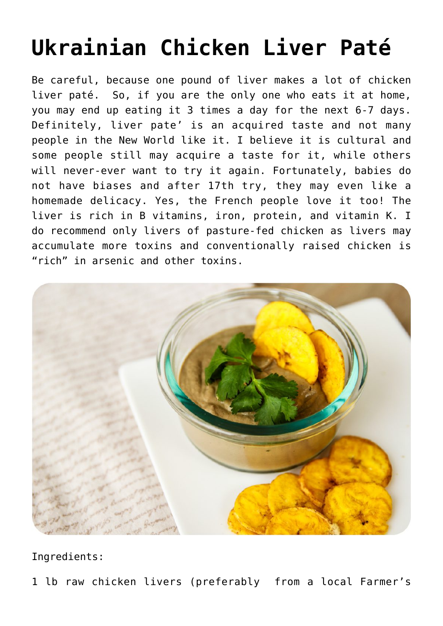## **[Ukrainian Chicken Liver Paté](https://sproutshealth.com/ukrainian-chicken-liver-pate/)**

Be careful, because one pound of liver makes a lot of chicken liver paté. So, if you are the only one who eats it at home, you may end up eating it 3 times a day for the next 6-7 days. Definitely, liver pate' is an acquired taste and not many people in the New World like it. I believe it is cultural and some people still may acquire a taste for it, while others will never-ever want to try it again. Fortunately, babies do not have biases and after 17th try, they may even like a homemade delicacy. Yes, the French people love it too! The liver is rich in B vitamins, iron, protein, and vitamin K. I do recommend only livers of pasture-fed chicken as livers may accumulate more toxins and conventionally raised chicken is "rich" in arsenic and other toxins.



Ingredients:

1 lb raw chicken livers (preferably from a local Farmer's